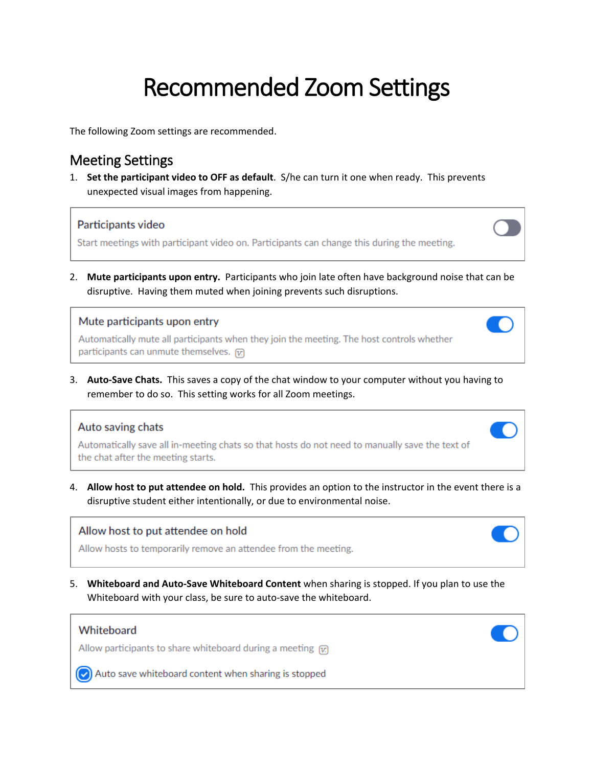# Recommended Zoom Settings

The following Zoom settings are recommended.

## Meeting Settings

1. **Set the participant video to OFF as default**. S/he can turn it one when ready. This prevents unexpected visual images from happening.

### Participants video

Start meetings with participant video on. Participants can change this during the meeting.

2. **Mute participants upon entry.** Participants who join late often have background noise that can be disruptive. Having them muted when joining prevents such disruptions.

#### Mute participants upon entry

Automatically mute all participants when they join the meeting. The host controls whether participants can unmute themselves. [v]

3. **Auto-Save Chats.** This saves a copy of the chat window to your computer without you having to remember to do so. This setting works for all Zoom meetings.

## Auto saving chats

Automatically save all in-meeting chats so that hosts do not need to manually save the text of the chat after the meeting starts.

4. **Allow host to put attendee on hold.** This provides an option to the instructor in the event there is a disruptive student either intentionally, or due to environmental noise.

## Allow host to put attendee on hold

Allow hosts to temporarily remove an attendee from the meeting.

5. **Whiteboard and Auto-Save Whiteboard Content** when sharing is stopped. If you plan to use the Whiteboard with your class, be sure to auto-save the whiteboard.

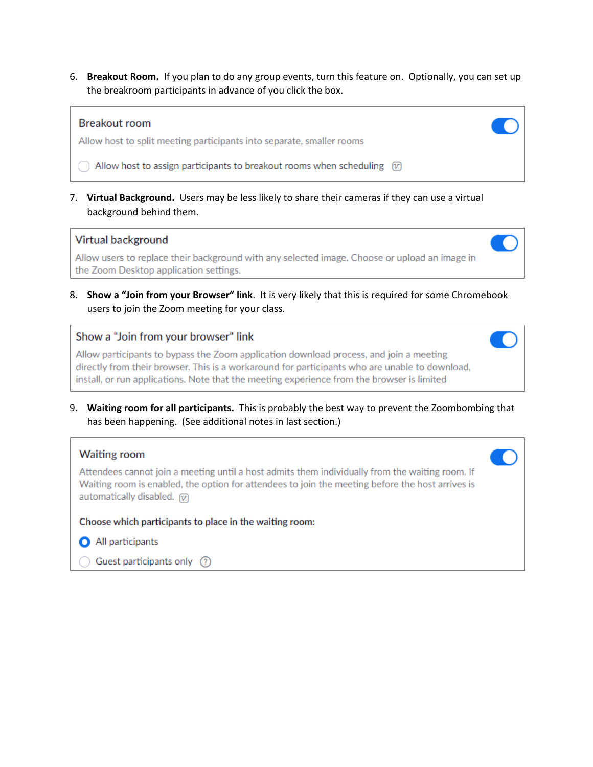6. **Breakout Room.** If you plan to do any group events, turn this feature on. Optionally, you can set up the breakroom participants in advance of you click the box.

#### **Breakout room**

Allow host to split meeting participants into separate, smaller rooms

 $\bigcap$  Allow host to assign participants to breakout rooms when scheduling  $\varnothing$ 

7. **Virtual Background.** Users may be less likely to share their cameras if they can use a virtual background behind them.

#### Virtual background

Allow users to replace their background with any selected image. Choose or upload an image in the Zoom Desktop application settings.

8. **Show a "Join from your Browser" link**. It is very likely that this is required for some Chromebook users to join the Zoom meeting for your class.

#### Show a "Join from your browser" link

Allow participants to bypass the Zoom application download process, and join a meeting directly from their browser. This is a workaround for participants who are unable to download, install, or run applications. Note that the meeting experience from the browser is limited

9. **Waiting room for all participants.** This is probably the best way to prevent the Zoombombing that has been happening. (See additional notes in last section.)

r.

#### **Waiting room**

Attendees cannot join a meeting until a host admits them individually from the waiting room. If Waiting room is enabled, the option for attendees to join the meeting before the host arrives is automatically disabled.  $\overline{w}$ 

Choose which participants to place in the waiting room:

- All participants
- $\bigcirc$  Guest participants only  $\bigcirc$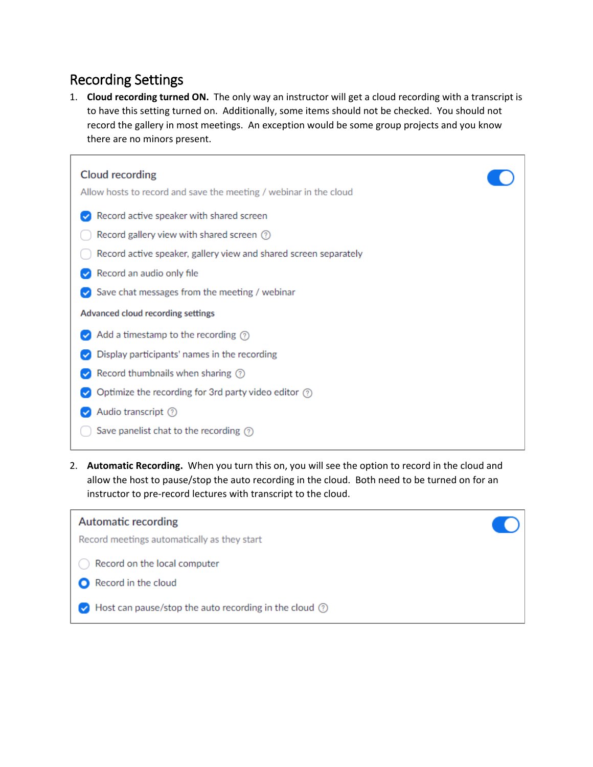# Recording Settings

1. **Cloud recording turned ON.** The only way an instructor will get a cloud recording with a transcript is to have this setting turned on. Additionally, some items should not be checked. You should not record the gallery in most meetings. An exception would be some group projects and you know there are no minors present.

| Cloud recording<br>Allow hosts to record and save the meeting / webinar in the cloud                                                                                                               |  |
|----------------------------------------------------------------------------------------------------------------------------------------------------------------------------------------------------|--|
| Record active speaker with shared screen<br>Record gallery view with shared screen $\circledcirc$<br>Record active speaker, gallery view and shared screen separately<br>Record an audio only file |  |
| Save chat messages from the meeting / webinar<br>Advanced cloud recording settings<br>Add a timestamp to the recording $\oslash$                                                                   |  |
| Display participants' names in the recording<br>Record thumbnails when sharing (?)                                                                                                                 |  |
| Optimize the recording for 3rd party video editor $\odot$<br>Audio transcript 7<br>Save panelist chat to the recording $\textcircled{?}$                                                           |  |

2. **Automatic Recording.** When you turn this on, you will see the option to record in the cloud and allow the host to pause/stop the auto recording in the cloud. Both need to be turned on for an instructor to pre-record lectures with transcript to the cloud.

| Automatic recording<br>Record meetings automatically as they start                  |  |
|-------------------------------------------------------------------------------------|--|
| Record on the local computer<br>Record in the cloud                                 |  |
| $\blacktriangleright$ Host can pause/stop the auto recording in the cloud $\oslash$ |  |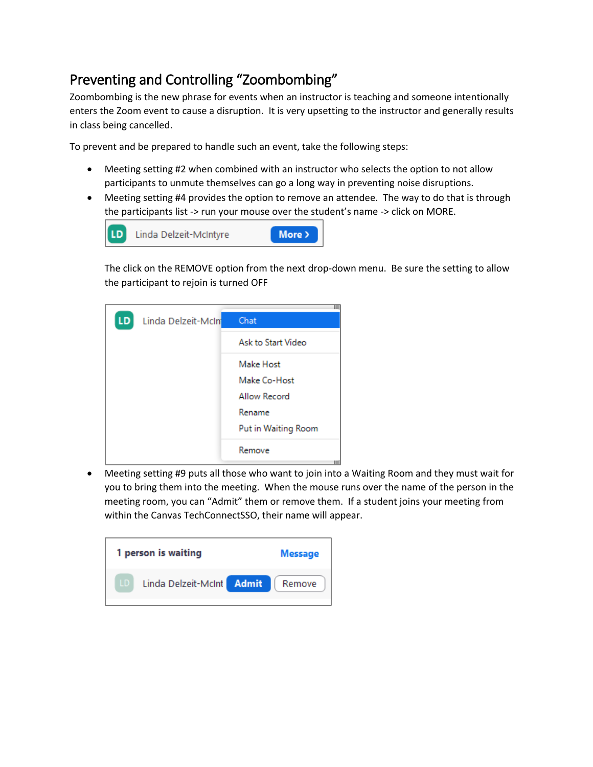# Preventing and Controlling "Zoombombing"

Zoombombing is the new phrase for events when an instructor is teaching and someone intentionally enters the Zoom event to cause a disruption. It is very upsetting to the instructor and generally results in class being cancelled.

To prevent and be prepared to handle such an event, take the following steps:

- Meeting setting #2 when combined with an instructor who selects the option to not allow participants to unmute themselves can go a long way in preventing noise disruptions.
- Meeting setting #4 provides the option to remove an attendee. The way to do that is through the participants list -> run your mouse over the student's name -> click on MORE.



The click on the REMOVE option from the next drop-down menu. Be sure the setting to allow the participant to rejoin is turned OFF



• Meeting setting #9 puts all those who want to join into a Waiting Room and they must wait for you to bring them into the meeting. When the mouse runs over the name of the person in the meeting room, you can "Admit" them or remove them. If a student joins your meeting from within the Canvas TechConnectSSO, their name will appear.